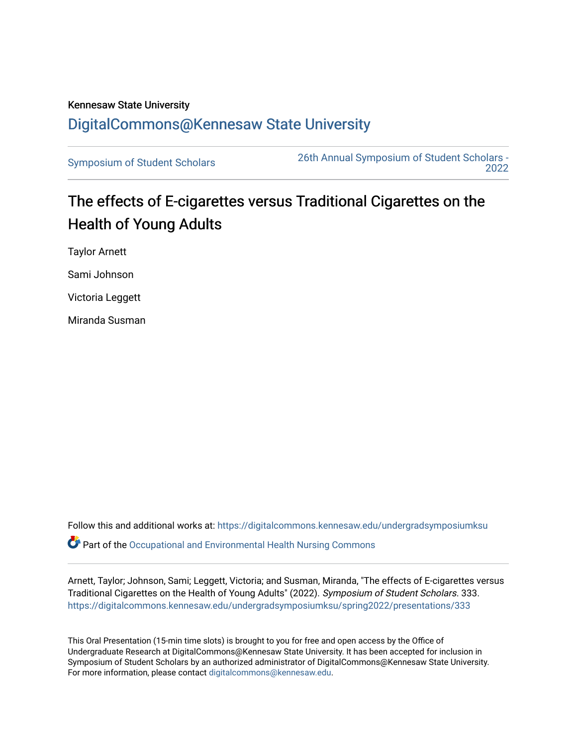## Kennesaw State University [DigitalCommons@Kennesaw State University](https://digitalcommons.kennesaw.edu/)

[Symposium of Student Scholars](https://digitalcommons.kennesaw.edu/undergradsymposiumksu) [26th Annual Symposium of Student Scholars -](https://digitalcommons.kennesaw.edu/undergradsymposiumksu/spring2022)  [2022](https://digitalcommons.kennesaw.edu/undergradsymposiumksu/spring2022) 

## The effects of E-cigarettes versus Traditional Cigarettes on the Health of Young Adults

Taylor Arnett Sami Johnson Victoria Leggett Miranda Susman

Follow this and additional works at: [https://digitalcommons.kennesaw.edu/undergradsymposiumksu](https://digitalcommons.kennesaw.edu/undergradsymposiumksu?utm_source=digitalcommons.kennesaw.edu%2Fundergradsymposiumksu%2Fspring2022%2Fpresentations%2F333&utm_medium=PDF&utm_campaign=PDFCoverPages)   $\bullet$  Part of the Occupational and Environmental Health Nursing Commons

Arnett, Taylor; Johnson, Sami; Leggett, Victoria; and Susman, Miranda, "The effects of E-cigarettes versus Traditional Cigarettes on the Health of Young Adults" (2022). Symposium of Student Scholars. 333. [https://digitalcommons.kennesaw.edu/undergradsymposiumksu/spring2022/presentations/333](https://digitalcommons.kennesaw.edu/undergradsymposiumksu/spring2022/presentations/333?utm_source=digitalcommons.kennesaw.edu%2Fundergradsymposiumksu%2Fspring2022%2Fpresentations%2F333&utm_medium=PDF&utm_campaign=PDFCoverPages)

This Oral Presentation (15-min time slots) is brought to you for free and open access by the Office of Undergraduate Research at DigitalCommons@Kennesaw State University. It has been accepted for inclusion in Symposium of Student Scholars by an authorized administrator of DigitalCommons@Kennesaw State University. For more information, please contact [digitalcommons@kennesaw.edu.](mailto:digitalcommons@kennesaw.edu)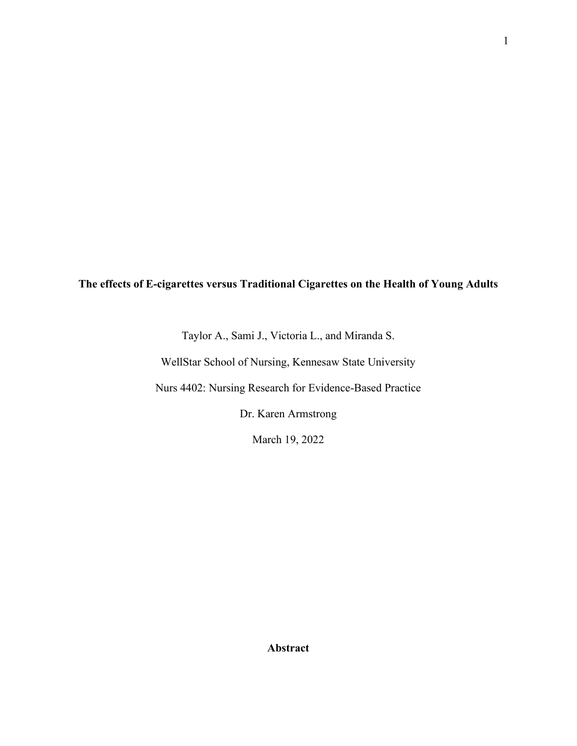1

## **The effects of E-cigarettes versus Traditional Cigarettes on the Health of Young Adults**

Taylor A., Sami J., Victoria L., and Miranda S.

WellStar School of Nursing, Kennesaw State University

Nurs 4402: Nursing Research for Evidence-Based Practice

Dr. Karen Armstrong

March 19, 2022

**Abstract**